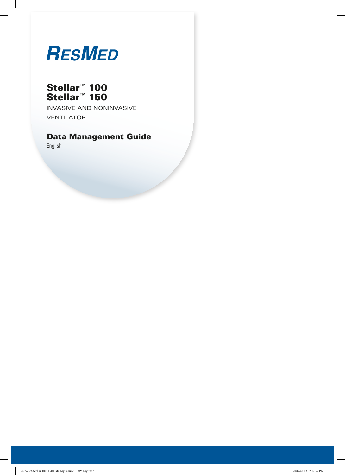# **RESMED**

# Stellar™ 100 Stellar™ 150

Invasive and noninvasive **VENTILATOR** 

# Data Management Guide

English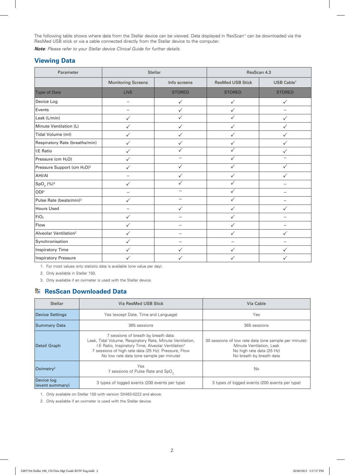The following table shows where data from the Stellar device can be viewed. Data displayed in ResScan™ can be downloaded via the ResMed USB stick or via a cable connected directly from the Stellar device to the computer.

*Note: Please refer to your Stellar device Clinical Guide for further details.* 

### **Viewing Data**

| Parameter                                           | Stellar                   |               | ResScan 4.3   |                          |  |
|-----------------------------------------------------|---------------------------|---------------|---------------|--------------------------|--|
|                                                     | <b>Monitoring Screens</b> | Info screens  |               | USB Cable <sup>1</sup>   |  |
| <b>Type of Data</b>                                 | <b>LIVE</b>               | <b>STORED</b> | <b>STORED</b> | <b>STORED</b>            |  |
| Device Log                                          | $\overline{\phantom{0}}$  | $\checkmark$  | ✓             | ✓                        |  |
| Events                                              |                           | $\checkmark$  | $\checkmark$  | $\overline{\phantom{0}}$ |  |
| Leak (L/min)                                        | ✓                         | $\checkmark$  | ✓             | $\checkmark$             |  |
| Minute Ventilation (L)                              | $\checkmark$              | $\checkmark$  | $\checkmark$  | ✓                        |  |
| Tidal Volume (ml)                                   | $\checkmark$              | $\checkmark$  | $\checkmark$  | $\checkmark$             |  |
| Respiratory Rate (breaths/min)                      | $\checkmark$              | $\checkmark$  | $\checkmark$  | ✓                        |  |
| I:E Ratio                                           | $\checkmark$              | $\checkmark$  | $\checkmark$  | $\checkmark$             |  |
| Pressure (cm H <sub>2</sub> O)                      | $\checkmark$              |               | $\checkmark$  |                          |  |
| Pressure Support (cm H <sub>2</sub> O) <sup>2</sup> | $\checkmark$              | $\checkmark$  | $\checkmark$  | $\checkmark$             |  |
| AHI/AI                                              |                           | $\checkmark$  | $\checkmark$  | $\checkmark$             |  |
| $SpO2$ (%) <sup>3</sup>                             | $\checkmark$              | $\checkmark$  | $\checkmark$  |                          |  |
| ODI <sup>3</sup>                                    | $\overline{\phantom{0}}$  |               | $\checkmark$  |                          |  |
| Pulse Rate (beats/min) <sup>3</sup>                 | ✓                         |               | $\checkmark$  |                          |  |
| <b>Hours Used</b>                                   | $\overline{\phantom{0}}$  | $\checkmark$  | $\checkmark$  | $\checkmark$             |  |
| FiO <sub>2</sub>                                    | $\checkmark$              |               | ✓             |                          |  |
| Flow                                                | $\checkmark$              |               | $\checkmark$  | -                        |  |
| Alveolar Ventilation <sup>2</sup>                   | $\checkmark$              |               | $\checkmark$  | $\checkmark$             |  |
| Synchronisation                                     | ✓                         |               |               |                          |  |
| <b>Inspiratory Time</b>                             | $\checkmark$              | $\checkmark$  | $\checkmark$  | $\checkmark$             |  |
| <b>Inspiratory Pressure</b>                         | ✓                         |               | ✓             |                          |  |

1. For most values only statistic data is available (one value per day).

2. Only available in Stellar 150.

3. Only available if an oximeter is used with the Stellar device.

### **B** ResScan Downloaded Data

| <b>Stellar</b>                | Via ResMed USB Stick                                                                                                                                                                                                                                                    | Via Cable                                                                                                                                  |
|-------------------------------|-------------------------------------------------------------------------------------------------------------------------------------------------------------------------------------------------------------------------------------------------------------------------|--------------------------------------------------------------------------------------------------------------------------------------------|
| Device Settings               | Yes (except Date, Time and Language)                                                                                                                                                                                                                                    | Yes                                                                                                                                        |
| <b>Summary Data</b>           | 365 sessions                                                                                                                                                                                                                                                            | 365 sessions                                                                                                                               |
| Detail Graph                  | 7 sessions of breath by breath data:<br>Leak, Tidal Volume, Respiratory Rate, Minute Ventilation,<br>I:E Ratio, Inspiratory Time, Alveolar Ventilation <sup>1</sup><br>7 sessions of high rate data (25 Hz): Pressure, Flow<br>No low rate data (one sample per minute) | 30 sessions of low rate data (one sample per minute):<br>Minute Ventilation, Leak<br>No high rate data (25 Hz)<br>No breath by breath data |
| Oximetry <sup>2</sup>         | Yes<br>7 sessions of Pulse Rate and SpO <sub>2</sub>                                                                                                                                                                                                                    | No                                                                                                                                         |
| Device log<br>(event summary) | 3 types of logged events (200 events per type)                                                                                                                                                                                                                          | 3 types of logged events (200 events per type)                                                                                             |

1. Only available on Stellar 150 with version SX483-0222 and above.

2. Only available if an oximeter is used with the Stellar device.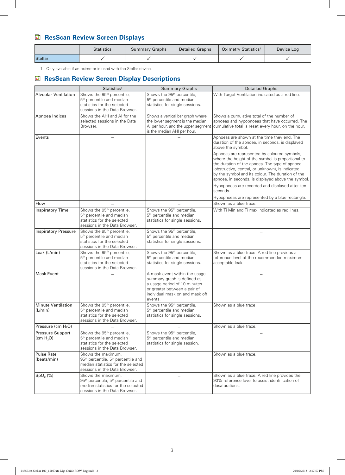# **ResScan Review Screen Displays**

|         | <b>Statistics</b> | <b>Summary Graphs</b> | <b>Detailed Graphs</b> | Oximetry Statistics <sup>1</sup> | Device Log |
|---------|-------------------|-----------------------|------------------------|----------------------------------|------------|
| Stellar |                   |                       |                        |                                  |            |

1. Only available if an oximeter is used with the Stellar device.

## **ResScan Review Screen Display Descriptions**

|                                                  | Statistics <sup>1</sup>                                                                                                                                  | <b>Summary Graphs</b>                                                                                                                                                      | <b>Detailed Graphs</b>                                                                                                                                                                                                                                                                                             |
|--------------------------------------------------|----------------------------------------------------------------------------------------------------------------------------------------------------------|----------------------------------------------------------------------------------------------------------------------------------------------------------------------------|--------------------------------------------------------------------------------------------------------------------------------------------------------------------------------------------------------------------------------------------------------------------------------------------------------------------|
| <b>Alveolar Ventilation</b>                      | Shows the 95 <sup>th</sup> percentile,<br>5 <sup>th</sup> percentile and median<br>statistics for the selected<br>sessions in the Data Browser.          | Shows the 95 <sup>th</sup> percentile,<br>5 <sup>th</sup> percentile and median<br>statistics for single sessions.                                                         | With Target Ventilation indicated as a red line.                                                                                                                                                                                                                                                                   |
| Apnoea Indices                                   | Shows the AHI and AI for the<br>selected sessions in the Data<br>Browser.                                                                                | Shows a vertical bar graph where<br>the lower segment is the median<br>Al per hour, and the upper segment<br>is the median AHI per hour.                                   | Shows a cumulative total of the number of<br>apnoeas and hypopnoeas that have occurred. The<br>cumulative total is reset every hour, on the hour.                                                                                                                                                                  |
| Events                                           |                                                                                                                                                          |                                                                                                                                                                            | Apnoeas are shown at the time they end. The<br>duration of the apnoea, in seconds, is displayed<br>above the symbol.                                                                                                                                                                                               |
|                                                  |                                                                                                                                                          |                                                                                                                                                                            | Apnoeas are represented by coloured symbols,<br>where the height of the symbol is proportional to<br>the duration of the apnoea. The type of apnoea<br>(obstructive, central, or unknown), is indicated<br>by the symbol and its colour. The duration of the<br>apnoea, in seconds, is displayed above the symbol. |
|                                                  |                                                                                                                                                          |                                                                                                                                                                            | Hypopnoeas are recorded and displayed after ten<br>seconds.                                                                                                                                                                                                                                                        |
|                                                  |                                                                                                                                                          |                                                                                                                                                                            | Hypopnoeas are represented by a blue rectangle.                                                                                                                                                                                                                                                                    |
| Flow                                             |                                                                                                                                                          |                                                                                                                                                                            | Shown as a blue trace.                                                                                                                                                                                                                                                                                             |
| <b>Inspiratory Time</b>                          | Shows the 95 <sup>th</sup> percentile,<br>5 <sup>th</sup> percentile and median<br>statistics for the selected<br>sessions in the Data Browser.          | Shows the 95 <sup>th</sup> percentile,<br>5 <sup>th</sup> percentile and median<br>statistics for single sessions.                                                         | With Ti Min and Ti max indicated as red lines.                                                                                                                                                                                                                                                                     |
| <b>Inspiratory Pressure</b>                      | Shows the 95 <sup>th</sup> percentile,<br>5 <sup>th</sup> percentile and median<br>statistics for the selected<br>sessions in the Data Browser.          | Shows the 95 <sup>th</sup> percentile,<br>5 <sup>th</sup> percentile and median<br>statistics for single sessions.                                                         |                                                                                                                                                                                                                                                                                                                    |
| Leak (L/min)                                     | Shows the 95 <sup>th</sup> percentile,<br>5 <sup>th</sup> percentile and median<br>statistics for the selected<br>sessions in the Data Browser.          | Shows the 95 <sup>th</sup> percentile,<br>5 <sup>th</sup> percentile and median<br>statistics for single sessions.                                                         | Shown as a blue trace. A red line provides a<br>reference level of the recommended maximum<br>acceptable leak.                                                                                                                                                                                                     |
| <b>Mask Event</b>                                |                                                                                                                                                          | A mask event within the usage<br>summary graph is defined as<br>a usage period of 10 minutes<br>or greater between a pair of<br>individual mask on and mask off<br>events. |                                                                                                                                                                                                                                                                                                                    |
| <b>Minute Ventilation</b><br>(L/min)             | Shows the 95 <sup>th</sup> percentile,<br>5 <sup>th</sup> percentile and median<br>statistics for the selected<br>sessions in the Data Browser.          | Shows the 95 <sup>th</sup> percentile,<br>5 <sup>th</sup> percentile and median<br>statistics for single sessions.                                                         | Shown as a blue trace.                                                                                                                                                                                                                                                                                             |
| Pressure (cm $H_2O$ )                            |                                                                                                                                                          |                                                                                                                                                                            | Shown as a blue trace.                                                                                                                                                                                                                                                                                             |
| <b>Pressure Support</b><br>(cm H <sub>2</sub> O) | Shows the 95 <sup>th</sup> percentile,<br>5 <sup>th</sup> percentile and median<br>statistics for the selected<br>sessions in the Data Browser.          | Shows the 95 <sup>th</sup> percentile,<br>5 <sup>th</sup> percentile and median<br>statistics for single session.                                                          |                                                                                                                                                                                                                                                                                                                    |
| <b>Pulse Rate</b><br>(beats/min)                 | Shows the maximum,<br>95 <sup>th</sup> percentile, 5 <sup>th</sup> percentile and<br>median statistics for the selected<br>sessions in the Data Browser. |                                                                                                                                                                            | Shown as a blue trace.                                                                                                                                                                                                                                                                                             |
| SpO <sub>2</sub> (%)                             | Shows the maximum,<br>95 <sup>th</sup> percentile, 5 <sup>th</sup> percentile and<br>median statistics for the selected<br>sessions in the Data Browser. |                                                                                                                                                                            | Shown as a blue trace. A red line provides the<br>90% reference level to assist identification of<br>desaturations.                                                                                                                                                                                                |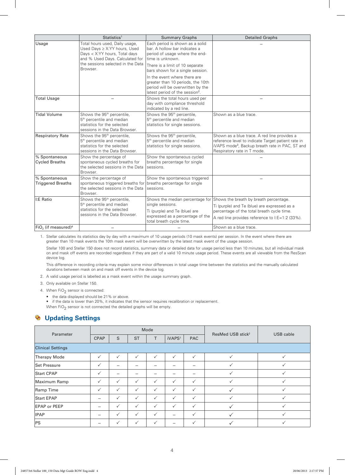|                                             | Statistics <sup>1</sup>                                                                                                                         | <b>Summary Graphs</b>                                                                                                                                 | <b>Detailed Graphs</b>                                                                                                                                                                           |
|---------------------------------------------|-------------------------------------------------------------------------------------------------------------------------------------------------|-------------------------------------------------------------------------------------------------------------------------------------------------------|--------------------------------------------------------------------------------------------------------------------------------------------------------------------------------------------------|
| Usage                                       | Total hours used, Daily usage,<br>Used Days ≥ X:YY hours, Used<br>Days < X:YY hours, Total days<br>and % Used Days. Calculated for              | Each period is shown as a solid<br>bar. A hollow bar indicates a<br>period of usage where the end-<br>time is unknown.                                |                                                                                                                                                                                                  |
|                                             | the sessions selected in the Data<br>Browser.                                                                                                   | There is a limit of 10 separate<br>bars shown for a single session.                                                                                   |                                                                                                                                                                                                  |
|                                             |                                                                                                                                                 | In the event where there are<br>greater than 10 periods, the 10th<br>period will be overwritten by the<br>latest period of the session <sup>2</sup> . |                                                                                                                                                                                                  |
| <b>Total Usage</b>                          |                                                                                                                                                 | Shows the total hours used per<br>day with compliance threshold<br>indicated by a red line.                                                           |                                                                                                                                                                                                  |
| <b>Tidal Volume</b>                         | Shows the 95 <sup>th</sup> percentile,<br>5 <sup>th</sup> percentile and median<br>statistics for the selected<br>sessions in the Data Browser. | Shows the 95 <sup>th</sup> percentile,<br>5 <sup>th</sup> percentile and median<br>statistics for single sessions.                                    | Shown as a blue trace.                                                                                                                                                                           |
| <b>Respiratory Rate</b>                     | Shows the 95 <sup>th</sup> percentile,<br>5 <sup>th</sup> percentile and median<br>statistics for the selected<br>sessions in the Data Browser. | Shows the 95 <sup>th</sup> percentile,<br>5 <sup>th</sup> percentile and median<br>statistics for single sessions.                                    | Shown as a blue trace. A red line provides a<br>reference level to indicate Target patient rate in<br>iVAPS mode <sup>3</sup> , Backup breath rate in PAC, ST and<br>Respiratory rate in T mode. |
| % Spontaneous<br><b>Cycled Breaths</b>      | Show the percentage of<br>spontaneous cycled breaths for<br>the selected sessions in the Data<br>Browser.                                       | Show the spontaneous cycled<br>breaths percentage for single<br>sessions.                                                                             |                                                                                                                                                                                                  |
| % Spontaneous<br><b>Triggered Breaths</b>   | Show the percentage of<br>spontaneous triggered breaths for<br>the selected sessions in the Data<br>Browser.                                    | Show the spontaneous triggered<br>breaths percentage for single<br>sessions.                                                                          |                                                                                                                                                                                                  |
| I:E Ratio                                   | Shows the 95 <sup>th</sup> percentile,                                                                                                          | Shows the median percentage for                                                                                                                       | Shows the breath by breath percentage.                                                                                                                                                           |
|                                             | 5 <sup>th</sup> percentile and median<br>statistics for the selected                                                                            | single sessions.                                                                                                                                      | Ti (purple) and Te (blue) are expressed as a                                                                                                                                                     |
|                                             | sessions in the Data Browser.                                                                                                                   | Ti (purple) and Te (blue) are<br>expressed as a percentage of the                                                                                     | percentage of the total breath cycle time.                                                                                                                                                       |
|                                             |                                                                                                                                                 | total breath cycle time.                                                                                                                              | A red line provides reference to I:E=1:2 (33%).                                                                                                                                                  |
| FiO <sub>2</sub> (if measured) <sup>4</sup> |                                                                                                                                                 |                                                                                                                                                       | Shown as a blue trace.                                                                                                                                                                           |

1. Stellar calculates its statistics day by day with a maximum of 10 usage periods (10 mask events) per session. In the event where there are greater than 10 mask events the 10th mask event will be overwritten by the latest mask event of the usage session.

Stellar 100 and Stellar 150 does not record statistics, summary data or detailed data for usage period less than 10 minutes, but all individual mask on and mask off events are recorded regardless if they are part of a valid 10 minute usage period. These events are all viewable from the ResScan device log.

This difference in recording criteria may explain some minor differences in total usage time between the statistics and the manually calculated durations between mask on and mask off events in the device log.

2. A valid usage period is labelled as a mask event within the usage summary graph.

3. Only available on Stellar 150.

4. When  $FiO<sub>2</sub>$  sensor is connected:

• the data displayed should be 21% or above.

• if the data is lower than 20%, it indicates that the sensor requires recalibration or replacement. When  $FiO<sub>2</sub>$  sensor is not connected the detailed graphs will be empty.

#### ಡಿ  **Updating Settings**

| Parameter                | Mode         |                          |              |              |                    | ResMed USB stick <sup>2</sup> |              |              |
|--------------------------|--------------|--------------------------|--------------|--------------|--------------------|-------------------------------|--------------|--------------|
|                          | <b>CPAP</b>  | S                        | <b>ST</b>    | T            | iVAPS <sup>1</sup> | <b>PAC</b>                    |              | USB cable    |
| <b>Clinical Settings</b> |              |                          |              |              |                    |                               |              |              |
| <b>Therapy Mode</b>      | $\checkmark$ | $\checkmark$             | $\checkmark$ | $\checkmark$ | $\checkmark$       | $\checkmark$                  | $\checkmark$ |              |
| Set Pressure             | $\checkmark$ |                          |              |              |                    |                               |              |              |
| <b>Start CPAP</b>        | $\checkmark$ | $\overline{\phantom{0}}$ |              |              |                    |                               |              |              |
| Maximum Ramp             | $\checkmark$ | $\checkmark$             | $\checkmark$ | $\checkmark$ | $\checkmark$       | $\checkmark$                  |              |              |
| Ramp Time                | $\checkmark$ | $\checkmark$             | $\checkmark$ | $\checkmark$ | $\checkmark$       | $\checkmark$                  |              | $\checkmark$ |
| <b>Start EPAP</b>        |              | $\checkmark$             | $\checkmark$ | $\checkmark$ | $\checkmark$       | $\checkmark$                  |              |              |
| <b>EPAP or PEEP</b>      |              | $\checkmark$             | $\checkmark$ | $\checkmark$ | $\checkmark$       | $\checkmark$                  |              |              |
| <b>IPAP</b>              |              | $\checkmark$             | $\checkmark$ | $\checkmark$ |                    | $\checkmark$                  |              |              |
| PS                       |              | $\checkmark$             | $\checkmark$ | $\checkmark$ |                    | $\checkmark$                  |              | ✓            |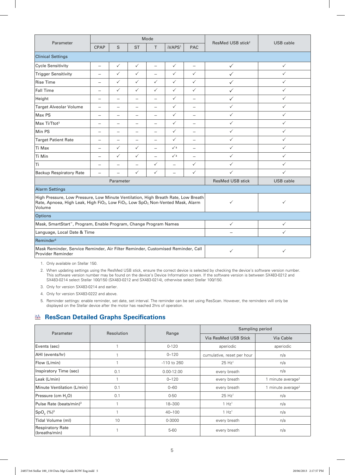|                                                                                                                                                                                                                                                      | Mode                     |                          |                          |                          |                          |                          |                               |              |
|------------------------------------------------------------------------------------------------------------------------------------------------------------------------------------------------------------------------------------------------------|--------------------------|--------------------------|--------------------------|--------------------------|--------------------------|--------------------------|-------------------------------|--------------|
| Parameter                                                                                                                                                                                                                                            | <b>CPAP</b>              | S                        | <b>ST</b>                | $\top$                   | iVAPS <sup>1</sup>       | <b>PAC</b>               | ResMed USB stick <sup>2</sup> | USB cable    |
| <b>Clinical Settings</b>                                                                                                                                                                                                                             |                          |                          |                          |                          |                          |                          |                               |              |
| <b>Cycle Sensitivity</b>                                                                                                                                                                                                                             | $\overline{\phantom{0}}$ | $\checkmark$             | $\checkmark$             | $\equiv$                 | $\checkmark$             | $\overline{\phantom{m}}$ | $\checkmark$                  | $\checkmark$ |
| <b>Trigger Sensitivity</b>                                                                                                                                                                                                                           | $\qquad \qquad -$        | $\checkmark$             | $\checkmark$             | $\qquad \qquad -$        | $\checkmark$             | $\checkmark$             | ✓                             | $\checkmark$ |
| <b>Rise Time</b>                                                                                                                                                                                                                                     | $\qquad \qquad -$        | $\checkmark$             | $\checkmark$             | $\checkmark$             | $\checkmark$             | $\checkmark$             | $\checkmark$                  | $\checkmark$ |
| <b>Fall Time</b>                                                                                                                                                                                                                                     | $\overline{\phantom{0}}$ | $\checkmark$             | $\checkmark$             | $\checkmark$             | $\checkmark$             | $\checkmark$             | $\checkmark$                  | $\checkmark$ |
| Height                                                                                                                                                                                                                                               | $\equiv$                 | $\equiv$                 |                          |                          | $\checkmark$             | $\overline{\phantom{m}}$ | $\checkmark$                  | $\checkmark$ |
| <b>Target Alveolar Volume</b>                                                                                                                                                                                                                        | $\overline{\phantom{0}}$ |                          |                          | $\overline{\phantom{0}}$ | $\checkmark$             | $\qquad \qquad -$        | $\checkmark$                  | $\checkmark$ |
| Max PS                                                                                                                                                                                                                                               | $\overline{\phantom{m}}$ |                          |                          |                          | $\checkmark$             | $\overline{\phantom{m}}$ | $\checkmark$                  | $\checkmark$ |
| Max Ti/Ttot <sup>3</sup>                                                                                                                                                                                                                             |                          |                          |                          |                          | $\checkmark$             |                          | $\checkmark$                  | $\checkmark$ |
| Min PS                                                                                                                                                                                                                                               | $\qquad \qquad -$        |                          | $\overline{\phantom{0}}$ | $\qquad \qquad -$        | $\checkmark$             | $\qquad \qquad -$        | $\checkmark$                  | $\checkmark$ |
| <b>Target Patient Rate</b>                                                                                                                                                                                                                           | $\overline{\phantom{0}}$ | $\overline{\phantom{0}}$ |                          | $\overline{\phantom{0}}$ | $\checkmark$             | $\overline{\phantom{m}}$ | $\checkmark$                  | $\checkmark$ |
| Ti Max                                                                                                                                                                                                                                               | $\qquad \qquad -$        | $\checkmark$             | $\checkmark$             | $\qquad \qquad -$        | $\sqrt{4}$               | $\qquad \qquad -$        | $\checkmark$                  | $\checkmark$ |
| Ti Min                                                                                                                                                                                                                                               | —                        | $\checkmark$             | $\checkmark$             | $\overline{\phantom{0}}$ | $\sqrt{4}$               | $\qquad \qquad -$        | $\checkmark$                  | $\checkmark$ |
| Ti                                                                                                                                                                                                                                                   |                          | $\overline{\phantom{m}}$ | $\overline{\phantom{m}}$ | $\checkmark$             | $\overline{\phantom{0}}$ | $\checkmark$             | $\checkmark$                  | $\checkmark$ |
| <b>Backup Respiratory Rate</b>                                                                                                                                                                                                                       | $\overline{\phantom{0}}$ |                          | $\checkmark$             | $\checkmark$             | $\overline{\phantom{0}}$ | $\checkmark$             | $\checkmark$                  | $\checkmark$ |
|                                                                                                                                                                                                                                                      |                          | Parameter                |                          |                          |                          |                          | <b>ResMed USB stick</b>       | USB cable    |
| <b>Alarm Settings</b>                                                                                                                                                                                                                                |                          |                          |                          |                          |                          |                          |                               |              |
| High Pressure, Low Pressure, Low Minute Ventilation, High Breath Rate, Low Breath<br>$\checkmark$<br>$\checkmark$<br>Rate, Apnoea, High Leak, High FiO <sub>2</sub> , Low FiO <sub>2</sub> , Low SpO <sub>2</sub> , Non-Vented Mask, Alarm<br>Volume |                          |                          |                          |                          |                          |                          |                               |              |
| <b>Options</b>                                                                                                                                                                                                                                       |                          |                          |                          |                          |                          |                          |                               |              |
| Mask, SmartStart", Program, Enable Program, Change Program Names                                                                                                                                                                                     |                          |                          |                          |                          |                          | $\checkmark$             | $\checkmark$                  |              |
| Language, Local Date & Time                                                                                                                                                                                                                          |                          |                          |                          |                          |                          |                          |                               | $\checkmark$ |
| Reminder <sup>5</sup>                                                                                                                                                                                                                                |                          |                          |                          |                          |                          |                          |                               |              |
| Mask Reminder, Service Reminder, Air Filter Reminder, Customised Reminder, Call<br><b>Provider Reminder</b>                                                                                                                                          |                          |                          |                          |                          |                          | $\checkmark$             | $\checkmark$                  |              |

1. Only available on Stellar 150.

2. When updating settings using the ResMed USB stick, ensure the correct device is selected by checking the device's software version number. This software version number may be found on the device's Device Information screen. If the software version is between SX483-0212 and SX483-0214 select Stellar 100/150 (SX483-0212 and SX483-0214), otherwise select Stellar 100/150.

3. Only for version SX483-0214 and earlier.

4. Only for version SX483-0222 and above.

5. Reminder settings: enable reminder, set date, set interval. The reminder can be set using ResScan. However, the reminders will only be displayed on the Stellar device after the motor has reached 2hrs of operation.

### **ResScan Detailed Graphs Specifications**

| Parameter                                | Resolution |                | Sampling period            |                      |  |
|------------------------------------------|------------|----------------|----------------------------|----------------------|--|
|                                          |            | Range          | Via ResMed USB Stick       | Via Cable            |  |
| Events (sec)                             |            | $0 - 120$      | aperiodic                  | aperiodic            |  |
| AHI (events/hr)                          |            | $0 - 120$      | cumulative, reset per hour | n/a                  |  |
| Flow (L/min)                             |            | $-110$ to 260  | 25 Hz <sup>1</sup>         | n/a                  |  |
| Inspiratory Time (sec)                   | 0.1        | $0.00 - 12.00$ | every breath               | n/a                  |  |
| Leak (L/min)                             |            | $0 - 120$      | every breath               | 1 minute average $2$ |  |
| Minute Ventilation (L/min)               | 0.1        | $0 - 60$       | every breath               | 1 minute average $2$ |  |
| Pressure (cm H <sub>2</sub> O)           | 0.1        | $0 - 50$       | $25$ Hz <sup>1</sup>       | n/a                  |  |
| Pulse Rate (beats/min) <sup>3</sup>      |            | 18-300         | 1 Hz <sup>1</sup>          | n/a                  |  |
| $SpO, (%)^3$                             |            | $40 - 100$     | 1 Hz <sup>1</sup>          | n/a                  |  |
| Tidal Volume (ml)                        | 10         | 0-3000         | every breath               | n/a                  |  |
| <b>Respiratory Rate</b><br>(breaths/min) |            | $5 - 60$       | every breath               | n/a                  |  |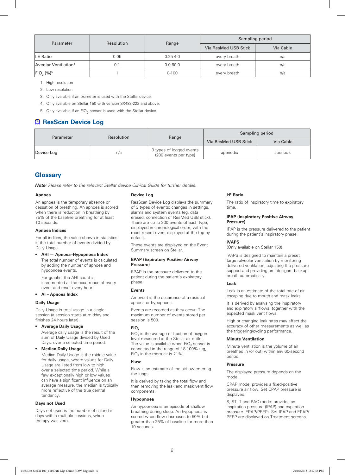| Parameter                        | Resolution |              | Sampling period      |           |  |
|----------------------------------|------------|--------------|----------------------|-----------|--|
|                                  |            | Range        | Via ResMed USB Stick | Via Cable |  |
| I:E Ratio                        | 0.05       | $0.25 - 4.0$ | every breath         | n/a       |  |
| Aveolar Ventilation <sup>4</sup> | 0.1        | $0.0 - 60.0$ | every breath         | n/a       |  |
| $Fig. (%)^5$                     |            | $0 - 100$    | every breath         | n/a       |  |

1. High resolution

2. Low resolution

3. Only available if an oximeter is used with the Stellar device.

4. Only available on Stellar 150 with version SX483-222 and above.

5. Only available if an  $FiO<sub>2</sub>$  sensor is used with the Stellar device.

### **ResScan Device Log**

| <b>Parameter</b> | <b>Resolution</b> | Range                                             | Sampling period      |           |  |
|------------------|-------------------|---------------------------------------------------|----------------------|-----------|--|
|                  |                   |                                                   | Via ResMed USB Stick | Via Cable |  |
| Device Log       | n/a               | 3 types of logged events<br>(200 events per type) | aperiodic            | aperiodic |  |

### **Glossary**

*Note: Please refer to the relevant Stellar device Clinical Guide for further details.*

#### **Apnoea**

An apnoea is the temporary absence or cessation of breathing. An apnoea is scored when there is reduction in breathing by 75% of the baseline breathing for at least 10 seconds.

#### **Apnoea Indices**

For all indices, the value shown in statistics is the total number of events divided by Daily Usage.

#### **• AHI — Apnoea–Hypopnoea Index**

The total number of events is calculated by adding the number of apnoea and hypopnoea events.

For graphs, the AHI count is incremented at the occurrence of every event and reset every hour.

#### **• AI – Apnoea Index**

#### **Daily Usage**

Daily Usage is total usage in a single session (a session starts at midday and finishes 24 hours later).

#### **• Average Daily Usage**

Average daily usage is the result of the sum of Daily Usage divided by Used Days, over a selected time period.

### **• Median Daily Usage**

Median Daily Usage is the middle value for daily usage, where values for Daily Usage are listed from low to high, over a selected time period. While a few exceptionally high or low values can have a significant influence on an average measure, the median is typically more reflective of the true central tendency.

#### **Days not Used**

Days not used is the number of calendar days within multiple sessions, when therapy was zero.

#### **Device Log**

ResScan Device Log displays the summary of 3 types of events: changes in settings, alarms and system events (eg, data erased, connection of ResMed USB stick). There are up to 200 events of each type, displayed in chronological order, with the most recent event displayed at the top by default.

These events are displayed on the Event Summary screen on Stellar.

#### **EPAP (Expiratory Positive Airway Pressure)**

EPAP is the pressure delivered to the patient during the patient's expiratory phase.

#### **Events**

An event is the occurence of a residual apnoea or hypopnoea.

Events are recorded as they occur. The maximum number of events stored per session is 500.

#### **FiO2**

 $FiO<sub>2</sub>$  is the average of fraction of oxygen level measured at the Stellar air outlet. The value is available when  $FiO<sub>2</sub>$  sensor is connected in the range of 18-100% (eg,  $FiO<sub>2</sub>$  in the room air is 21%).

#### **Flow**

Flow is an estimate of the airflow entering the lungs.

It is derived by taking the total flow and then removing the leak and mask vent flow components.

#### **Hypopnoea**

An hypopnoea is an episode of shallow breathing during sleep. An hypopnoea is scored when flow decreases to 50% but greater than 25% of baseline for more than 10 seconds.

#### **I:E Ratio**

The ratio of inspiratory time to expiratory time.

#### **IPAP (Inspiratory Positive Airway Pressure)**

IPAP is the pressure delivered to the patient during the patient's inspiratory phase.

#### **iVAPS**

(Only available on Stellar 150)

iVAPS is designed to maintain a preset target alveolar ventilation by monitoring delivered ventilation, adjusting the pressure support and providing an intelligent backup breath automatically.

#### **Leak**

Leak is an estimate of the total rate of air escaping due to mouth and mask leaks.

It is derived by analysing the inspiratory and expiratory airflows, together with the expected mask vent flows.

High or changing leak rates may affect the accuracy of other measurements as well as the triggering/cycling performance.

#### **Minute Ventilation**

Minute ventilation is the volume of air breathed in (or out) within any 60-second period.

#### **Pressure**

The displayed pressure depends on the mode.

CPAP mode: provides a fixed-positive pressure air flow. Set CPAP pressure is displayed.

S, ST, T and PAC mode: provides an inspiration pressure (IPAP) and expiration pressure (EPAP/PEEP). Set IPAP and EPAP/ PEEP are displayed on Treatment screens.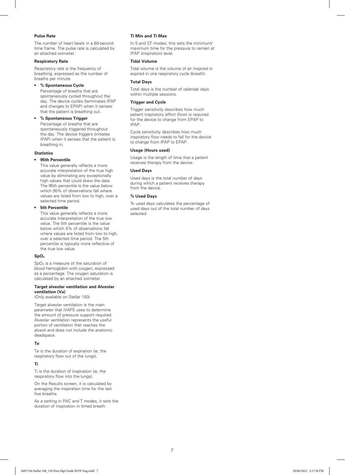#### **Pulse Rate**

The number of heart beats in a 60-second time frame. The pulse rate is calculated by an attached oximeter.

#### **Respiratory Rate**

Respiratory rate is the frequency of breathing, expressed as the number of breaths per minute.

#### **• % Spontaneous Cycle**

Percentage of breaths that are spontaneously cycled throughout the day. The device cycles (terminates IPAP and changes to EPAP) when it senses that the patient is breathing out.

#### **• % Spontaneous Trigger**

Percentage of breaths that are spontaneously triggered throughout the day. The device triggers (initiates IPAP) when it senses that the patient is breathing in.

#### **Statistics**

#### **• 95th Percentile**

This value generally reflects a more accurate interpretation of the true high value by eliminating any exceptionally high values that could skew the data. The 95th percentile is the value below which 95% of observations fall where values are listed from low to high, over a selected time period.

#### **• 5th Percentile**

This value generally reflects a more accurate interpretation of the true low value. The 5th percentile is the value below which 5% of observations fall where values are listed from low to high over a selected time period. The 5th percentile is typically more reflective of the true low value.

#### **SpO2**

SpO2 is a measure of the saturation of blood hemoglobin with oxygen, expressed as a percentage. The oxygen saturation is calculated by an attached oximeter.

#### **Target alveolar ventilation and Alveolar ventilation (Va)**

(Only available on Stellar 150)

Target alveolar ventilation is the main parameter that iVAPS uses to determine the amount of pressure support required. Alveolar ventilation represents the useful portion of ventilation that reaches the alveoli and does not include the anatomic deadspace.

#### **Te**

Te is the duration of expiration (ie, the respiratory flow out of the lungs).

#### **Ti**

Ti is the duration of inspiration (ie, the respiratory flow into the lungs).

On the Results screen, it is calculated by averaging the inspiration time for the last five breaths.

As a setting in PAC and T modes, it sets the duration of inspiration in timed breath.

#### **Ti Min and Ti Max**

In S and ST modes, this sets the minimum/ maximum time for the pressure to remain at IPAP (inspiration) level.

#### **Tidal Volume**

Tidal volume is the volume of air inspired or expired in one respiratory cycle (breath).

#### **Total Days**

Total days is the number of calendar days within multiple sessions.

#### **Trigger and Cycle**

Trigger sensitivity describes how much patient inspiratory effort (flow) is required for the device to change from EPAP to IPAP.

Cycle sensitivity describes how much inspiratory flow needs to fall for the device to change from IPAP to EPAP.

#### **Usage (Hours used)**

Usage is the length of time that a patient receives therapy from the device.

#### **Used Days**

Used days is the total number of days during which a patient receives therapy from the device.

#### **% Used Days**

% used days calculates the percentage of used days out of the total number of days selected.